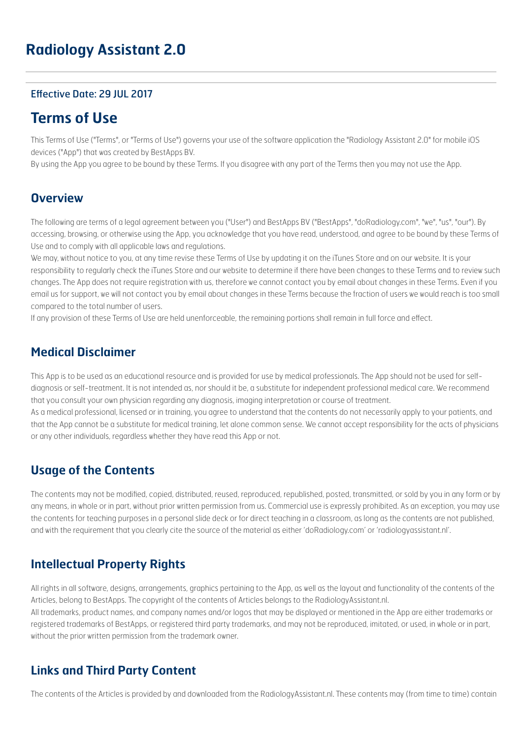# **Radiology Assistant 2.0**

#### Efective Date: 29 JUL 2017

# **Terms of Use**

This Terms of Use ("Terms", or "Terms of Use") governs your use of the software application the "Radiology Assistant 2.0" for mobile iOS devices ("App") that was created by BestApps BV.

By using the App you agree to be bound by these Terms. If you disagree with any part of the Terms then you may not use the App.

#### **Overview**

The following are terms of a legal agreement between you ("User") and BestApps BV ("BestApps", "doRadiology.com", "we", "us", "our"). By accessing, browsing, or otherwise using the App, you acknowledge that you have read, understood, and agree to be bound by these Terms of Use and to comply with all applicable laws and regulations.

We may, without notice to you, at any time revise these Terms of Use by updating it on the iTunes Store and on our website. It is your responsibility to regularly check the iTunes Store and our website to determine if there have been changes to these Terms and to review such changes. The App does not require registration with us, therefore we cannot contact you by email about changes in these Terms. Even if you email us for support, we will not contact you by email about changes in these Terms because the fraction of users we would reach is too small compared to the total number of users.

If any provision of these Terms of Use are held unenforceable, the remaining portions shall remain in full force and efect.

#### **Medical Disclaimer**

This App is to be used as an educational resource and is provided for use by medical professionals. The App should not be used for selfdiagnosis or self-treatment. It is not intended as, nor should it be, a substitute for independent professional medical care. We recommend that you consult your own physician regarding any diagnosis, imaging interpretation or course of treatment.

As a medical professional, licensed or in training, you agree to understand that the contents do not necessarily apply to your patients, and that the App cannot be a substitute for medical training, let alone common sense. We cannot accept responsibility for the acts of physicians or any other individuals, regardless whether they have read this App or not.

#### **Usage of the Contents**

The contents may not be modified, copied, distributed, reused, reproduced, republished, posted, transmitted, or sold by you in any form or by any means, in whole or in part, without prior written permission from us. Commercial use is expressly prohibited. As an exception, you may use the contents for teaching purposes in a personal slide deck or for direct teaching in a classroom, as long as the contents are not published, and with the requirement that you clearly cite the source of the material as either 'doRadiology.com' or 'radiologyassistant.nl'.

### **Intellectual Property Rights**

All rights in all software, designs, arrangements, graphics pertaining to the App, as well as the layout and functionality of the contents of the Articles, belong to BestApps. The copyright of the contents of Articles belongs to the RadiologyAssistant.nl. All trademarks, product names, and company names and/or logos that may be displayed or mentioned in the App are either trademarks or registered trademarks of BestApps, or registered third party trademarks, and may not be reproduced, imitated, or used, in whole or in part, without the prior written permission from the trademark owner.

### **Links and Third Party Content**

The contents of the Articles is provided by and downloaded from the RadiologyAssistant.nl. These contents may (from time to time) contain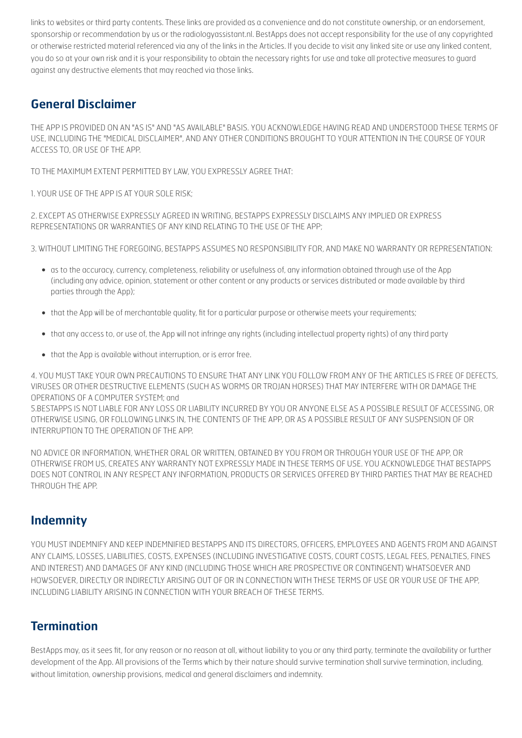links to websites or third party contents. These links are provided as a convenience and do not constitute ownership, or an endorsement, sponsorship or recommendation by us or the radiologyassistant.nl. BestApps does not accept responsibility for the use of any copyrighted or otherwise restricted material referenced via any of the links in the Articles. If you decide to visit any linked site or use any linked content, you do so at your own risk and it is your responsibility to obtain the necessary rights for use and take all protective measures to guard against any destructive elements that may reached via those links.

#### **General Disclaimer**

THE APP IS PROVIDED ON AN "AS IS" AND "AS AVAILABLE" BASIS. YOU ACKNOWLEDGE HAVING READ AND UNDERSTOOD THESE TERMS OF USE, INCLUDING THE "MEDICAL DISCLAIMER", AND ANY OTHER CONDITIONS BROUGHT TO YOUR ATTENTION IN THE COURSE OF YOUR ACCESS TO, OR USE OF THE APP.

TO THE MAXIMUM EXTENT PERMITTED BY LAW, YOU EXPRESSLY AGREE THAT:

1. YOUR USE OF THE APP IS AT YOUR SOLE RISK;

2. EXCEPT AS OTHERWISE EXPRESSLY AGREED IN WRITING, BESTAPPS EXPRESSLY DISCLAIMS ANY IMPLIED OR EXPRESS REPRESENTATIONS OR WARRANTIES OF ANY KIND RELATING TO THE USE OF THE APP;

3. WITHOUT LIMITING THE FOREGOING, BESTAPPS ASSUMES NO RESPONSIBILITY FOR, AND MAKE NO WARRANTY OR REPRESENTATION:

- as to the accuracy, currency, completeness, reliability or usefulness of, any information obtained through use of the App (including any advice, opinion, statement or other content or any products or services distributed or made available by third parties through the App);
- that the App will be of merchantable quality, fit for a particular purpose or otherwise meets your requirements;
- that any access to, or use of, the App will not infringe any rights (including intellectual property rights) of any third party
- that the App is available without interruption, or is error free.

4. YOU MUST TAKE YOUR OWN PRECAUTIONS TO ENSURE THAT ANY LINK YOU FOLLOW FROM ANY OF THE ARTICLES IS FREE OF DEFECTS, VIRUSES OR OTHER DESTRUCTIVE ELEMENTS (SUCH AS WORMS OR TROJAN HORSES) THAT MAY INTERFERE WITH OR DAMAGE THE OPERATIONS OF A COMPUTER SYSTEM; and

5.BESTAPPS IS NOT LIABLE FOR ANY LOSS OR LIABILITY INCURRED BY YOU OR ANYONE ELSE AS A POSSIBLE RESULT OF ACCESSING, OR OTHERWISE USING, OR FOLLOWING LINKS IN, THE CONTENTS OF THE APP, OR AS A POSSIBLE RESULT OF ANY SUSPENSION OF OR INTERRUPTION TO THE OPERATION OF THE APP.

NO ADVICE OR INFORMATION, WHETHER ORAL OR WRITTEN, OBTAINED BY YOU FROM OR THROUGH YOUR USE OF THE APP, OR OTHERWISE FROM US, CREATES ANY WARRANTY NOT EXPRESSLY MADE IN THESE TERMS OF USE. YOU ACKNOWLEDGE THAT BESTAPPS DOES NOT CONTROL IN ANY RESPECT ANY INFORMATION, PRODUCTS OR SERVICES OFFERED BY THIRD PARTIES THAT MAY BE REACHED THROUGH THE APP.

#### **Indemnity**

YOU MUST INDEMNIFY AND KEEP INDEMNIFIED BESTAPPS AND ITS DIRECTORS, OFFICERS, EMPLOYEES AND AGENTS FROM AND AGAINST ANY CLAIMS, LOSSES, LIABILITIES, COSTS, EXPENSES (INCLUDING INVESTIGATIVE COSTS, COURT COSTS, LEGAL FEES, PENALTIES, FINES AND INTEREST) AND DAMAGES OF ANY KIND (INCLUDING THOSE WHICH ARE PROSPECTIVE OR CONTINGENT) WHATSOEVER AND HOWSOEVER, DIRECTLY OR INDIRECTLY ARISING OUT OF OR IN CONNECTION WITH THESE TERMS OF USE OR YOUR USE OF THE APP, INCLUDING LIABILITY ARISING IN CONNECTION WITH YOUR BREACH OF THESE TERMS.

### **Termination**

BestApps may, as it sees fit, for any reason or no reason at all, without liability to you or any third party, terminate the availability or further development of the App. All provisions of the Terms which by their nature should survive termination shall survive termination, including, without limitation, ownership provisions, medical and general disclaimers and indemnity.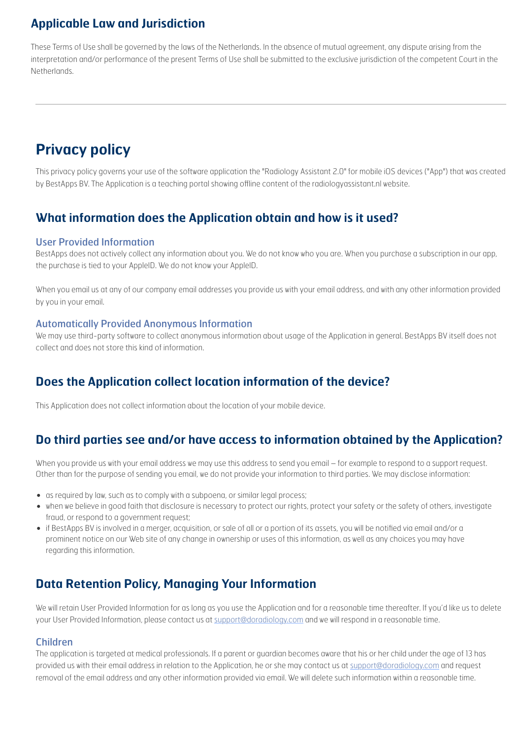## **Applicable Law and Jurisdiction**

These Terms of Use shall be governed by the laws of the Netherlands. In the absence of mutual agreement, any dispute arising from the interpretation and/or performance of the present Terms of Use shall be submitted to the exclusive jurisdiction of the competent Court in the Netherlands.

# **Privacy policy**

This privacy policy governs your use of the software application the "Radiology Assistant 2.0" for mobile iOS devices ("App") that was created by BestApps BV. The Application is a teaching portal showing ofline content of the radiologyassistant.nl website.

### **What information does the Application obtain and how is it used?**

#### User Provided Information

BestApps does not actively collect any information about you. We do not know who you are. When you purchase a subscription in our app, the purchase is tied to your AppleID. We do not know your AppleID.

When you email us at any of our company email addresses you provide us with your email address, and with any other information provided by you in your email.

#### Automatically Provided Anonymous Information

We may use third-party software to collect anonymous information about usage of the Application in general. BestApps BV itself does not collect and does not store this kind of information.

### **Does the Application collect location information of the device?**

This Application does not collect information about the location of your mobile device.

#### **Do third parties see and/or have access to information obtained by the Application?**

When you provide us with your email address we may use this address to send you email – for example to respond to a support request. Other than for the purpose of sending you email, we do not provide your information to third parties. We may disclose information:

- as required by law, such as to comply with a subpoena, or similar legal process;
- when we believe in good faith that disclosure is necessary to protect our rights, protect your safety or the safety of others, investigate fraud, or respond to a government request;
- if BestApps BV is involved in a merger, acquisition, or sale of all or a portion of its assets, you will be notified via email and/or a prominent notice on our Web site of any change in ownership or uses of this information, as well as any choices you may have regarding this information.

### **Data Retention Policy, Managing Your Information**

We will retain User Provided Information for as long as you use the Application and for a reasonable time thereafter. If you'd like us to delete your User Provided Information, please contact us at [support@doradiology.com](mailto:support@doradiology.com) and we will respond in a reasonable time.

#### Children

The application is targeted at medical professionals. If a parent or guardian becomes aware that his or her child under the age of 13 has provided us with their email address in relation to the Application, he or she may contact us at [support@doradiology.com](mailto:support@doradiology.com) and request removal of the email address and any other information provided via email. We will delete such information within a reasonable time.